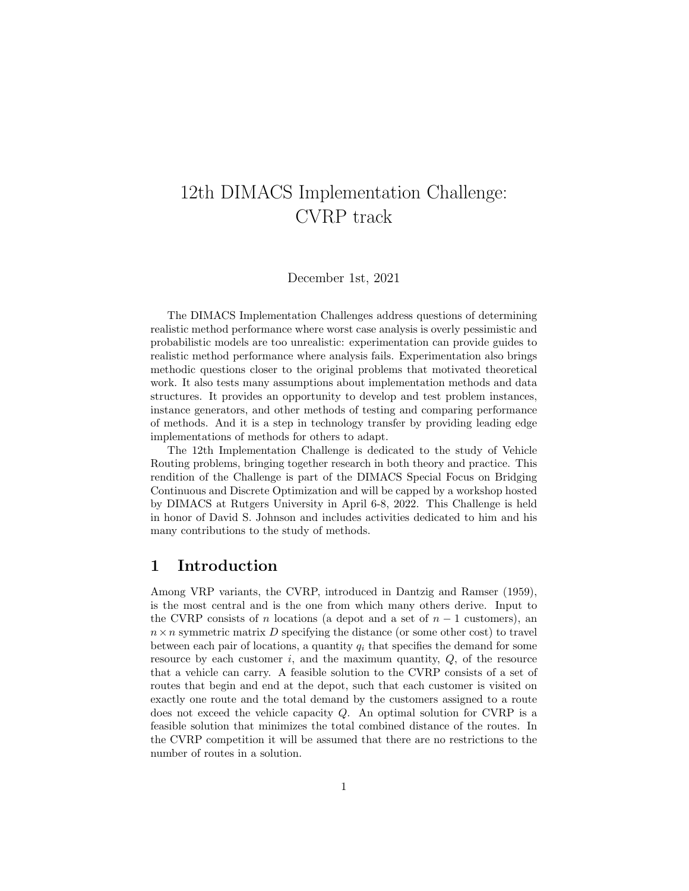# 12th DIMACS Implementation Challenge: CVRP track

December 1st, 2021

The DIMACS Implementation Challenges address questions of determining realistic method performance where worst case analysis is overly pessimistic and probabilistic models are too unrealistic: experimentation can provide guides to realistic method performance where analysis fails. Experimentation also brings methodic questions closer to the original problems that motivated theoretical work. It also tests many assumptions about implementation methods and data structures. It provides an opportunity to develop and test problem instances, instance generators, and other methods of testing and comparing performance of methods. And it is a step in technology transfer by providing leading edge implementations of methods for others to adapt.

The 12th Implementation Challenge is dedicated to the study of Vehicle Routing problems, bringing together research in both theory and practice. This rendition of the Challenge is part of the DIMACS Special Focus on Bridging Continuous and Discrete Optimization and will be capped by a workshop hosted by DIMACS at Rutgers University in April 6-8, 2022. This Challenge is held in honor of David S. Johnson and includes activities dedicated to him and his many contributions to the study of methods.

#### 1 Introduction

Among VRP variants, the CVRP, introduced in Dantzig and Ramser (1959), is the most central and is the one from which many others derive. Input to the CVRP consists of n locations (a depot and a set of  $n-1$  customers), an  $n \times n$  symmetric matrix D specifying the distance (or some other cost) to travel between each pair of locations, a quantity  $q_i$  that specifies the demand for some resource by each customer i, and the maximum quantity,  $Q$ , of the resource that a vehicle can carry. A feasible solution to the CVRP consists of a set of routes that begin and end at the depot, such that each customer is visited on exactly one route and the total demand by the customers assigned to a route does not exceed the vehicle capacity  $Q$ . An optimal solution for CVRP is a feasible solution that minimizes the total combined distance of the routes. In the CVRP competition it will be assumed that there are no restrictions to the number of routes in a solution.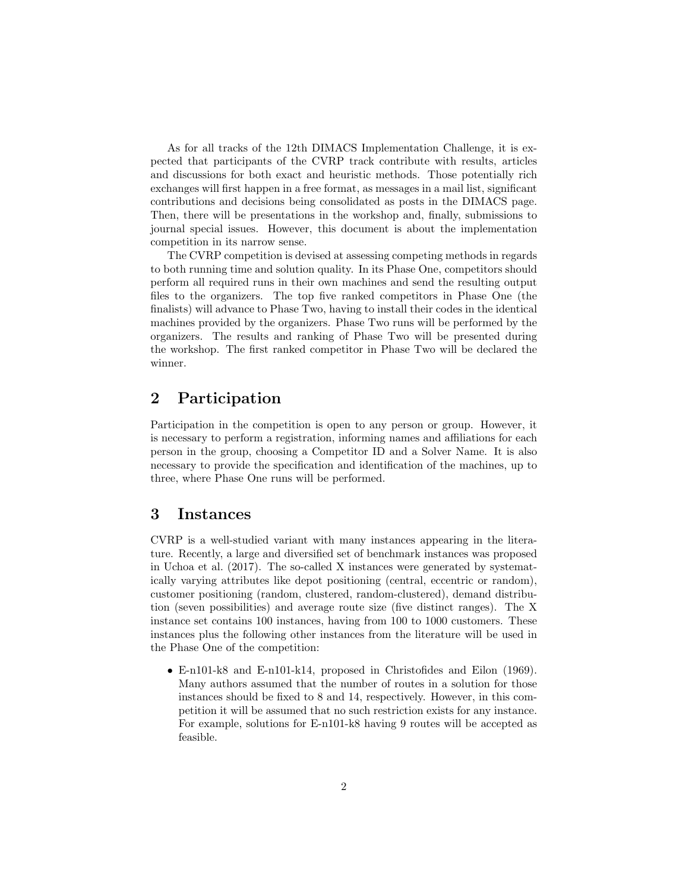As for all tracks of the 12th DIMACS Implementation Challenge, it is expected that participants of the CVRP track contribute with results, articles and discussions for both exact and heuristic methods. Those potentially rich exchanges will first happen in a free format, as messages in a mail list, significant contributions and decisions being consolidated as posts in the DIMACS page. Then, there will be presentations in the workshop and, finally, submissions to journal special issues. However, this document is about the implementation competition in its narrow sense.

The CVRP competition is devised at assessing competing methods in regards to both running time and solution quality. In its Phase One, competitors should perform all required runs in their own machines and send the resulting output files to the organizers. The top five ranked competitors in Phase One (the finalists) will advance to Phase Two, having to install their codes in the identical machines provided by the organizers. Phase Two runs will be performed by the organizers. The results and ranking of Phase Two will be presented during the workshop. The first ranked competitor in Phase Two will be declared the winner.

## 2 Participation

Participation in the competition is open to any person or group. However, it is necessary to perform a registration, informing names and affiliations for each person in the group, choosing a Competitor ID and a Solver Name. It is also necessary to provide the specification and identification of the machines, up to three, where Phase One runs will be performed.

#### 3 Instances

CVRP is a well-studied variant with many instances appearing in the literature. Recently, a large and diversified set of benchmark instances was proposed in Uchoa et al. (2017). The so-called X instances were generated by systematically varying attributes like depot positioning (central, eccentric or random), customer positioning (random, clustered, random-clustered), demand distribution (seven possibilities) and average route size (five distinct ranges). The X instance set contains 100 instances, having from 100 to 1000 customers. These instances plus the following other instances from the literature will be used in the Phase One of the competition:

• E-n101-k8 and E-n101-k14, proposed in Christofides and Eilon (1969). Many authors assumed that the number of routes in a solution for those instances should be fixed to 8 and 14, respectively. However, in this competition it will be assumed that no such restriction exists for any instance. For example, solutions for E-n101-k8 having 9 routes will be accepted as feasible.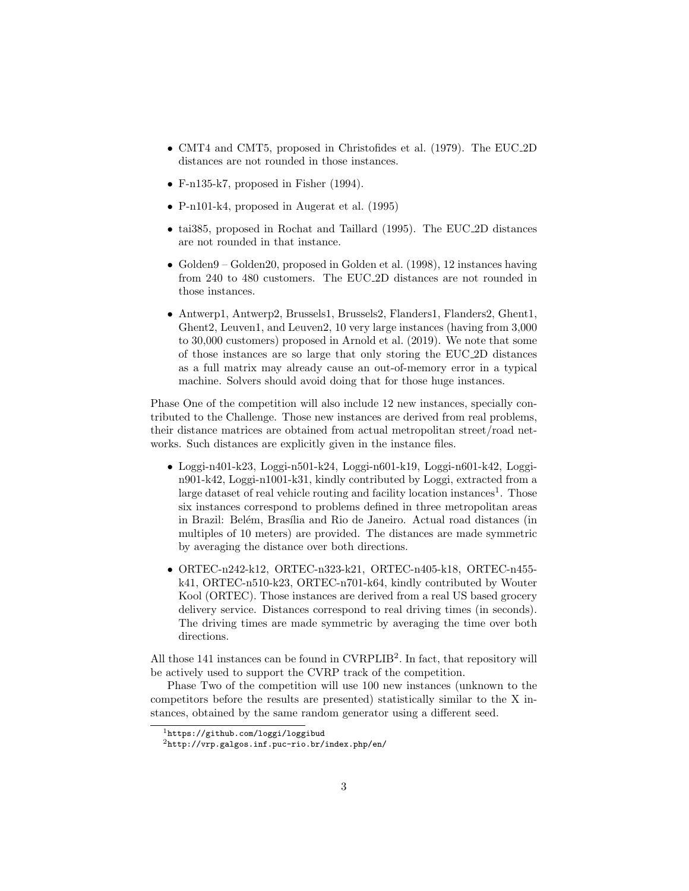- CMT4 and CMT5, proposed in Christofides et al. (1979). The EUC 2D distances are not rounded in those instances.
- F-n135-k7, proposed in Fisher (1994).
- P-n101-k4, proposed in Augerat et al. (1995)
- tai385, proposed in Rochat and Taillard (1995). The EUC 2D distances are not rounded in that instance.
- Golden9 Golden20, proposed in Golden et al. (1998), 12 instances having from 240 to 480 customers. The EUC 2D distances are not rounded in those instances.
- Antwerp1, Antwerp2, Brussels1, Brussels2, Flanders1, Flanders2, Ghent1, Ghent2, Leuven1, and Leuven2, 10 very large instances (having from 3,000 to 30,000 customers) proposed in Arnold et al. (2019). We note that some of those instances are so large that only storing the EUC 2D distances as a full matrix may already cause an out-of-memory error in a typical machine. Solvers should avoid doing that for those huge instances.

Phase One of the competition will also include 12 new instances, specially contributed to the Challenge. Those new instances are derived from real problems, their distance matrices are obtained from actual metropolitan street/road networks. Such distances are explicitly given in the instance files.

- Loggi-n401-k23, Loggi-n501-k24, Loggi-n601-k19, Loggi-n601-k42, Loggin901-k42, Loggi-n1001-k31, kindly contributed by Loggi, extracted from a large dataset of real vehicle routing and facility location instances<sup>1</sup>. Those six instances correspond to problems defined in three metropolitan areas in Brazil: Belém, Brasília and Rio de Janeiro. Actual road distances (in multiples of 10 meters) are provided. The distances are made symmetric by averaging the distance over both directions.
- ORTEC-n242-k12, ORTEC-n323-k21, ORTEC-n405-k18, ORTEC-n455 k41, ORTEC-n510-k23, ORTEC-n701-k64, kindly contributed by Wouter Kool (ORTEC). Those instances are derived from a real US based grocery delivery service. Distances correspond to real driving times (in seconds). The driving times are made symmetric by averaging the time over both directions.

All those 141 instances can be found in CVRPLIB<sup>2</sup>. In fact, that repository will be actively used to support the CVRP track of the competition.

Phase Two of the competition will use 100 new instances (unknown to the competitors before the results are presented) statistically similar to the X instances, obtained by the same random generator using a different seed.

<sup>&</sup>lt;sup>1</sup>https://github.com/loggi/loggibud

 $^{2}$ http://vrp.galgos.inf.puc-rio.br/index.php/en/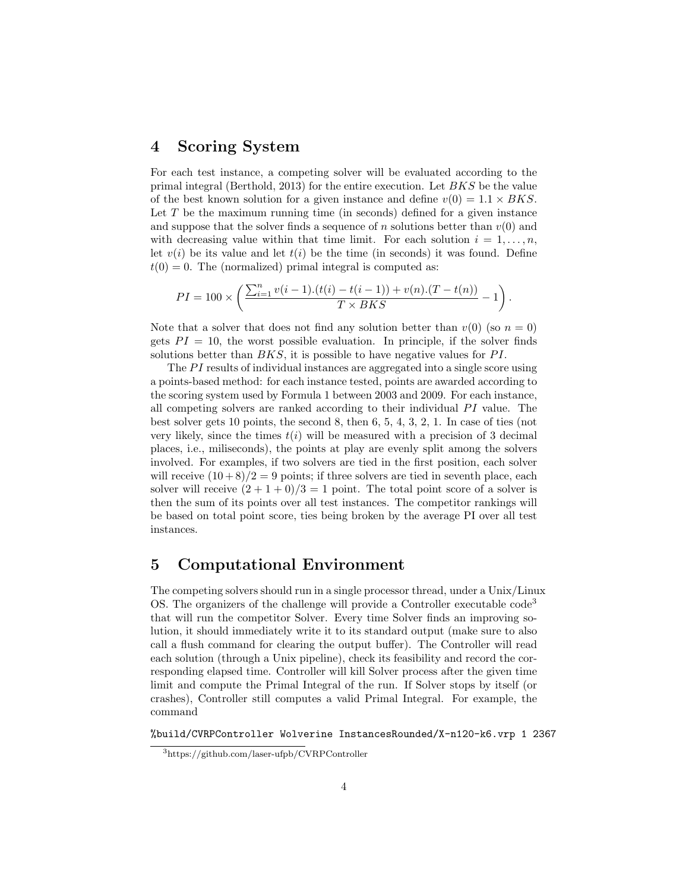#### 4 Scoring System

For each test instance, a competing solver will be evaluated according to the primal integral (Berthold, 2013) for the entire execution. Let BKS be the value of the best known solution for a given instance and define  $v(0) = 1.1 \times BKS$ . Let  $T$  be the maximum running time (in seconds) defined for a given instance and suppose that the solver finds a sequence of n solutions better than  $v(0)$  and with decreasing value within that time limit. For each solution  $i = 1, \ldots, n$ , let  $v(i)$  be its value and let  $t(i)$  be the time (in seconds) it was found. Define  $t(0) = 0$ . The (normalized) primal integral is computed as:

$$
PI = 100 \times \left( \frac{\sum_{i=1}^{n} v(i-1).(t(i) - t(i-1)) + v(n).(T - t(n))}{T \times BKS} - 1 \right).
$$

Note that a solver that does not find any solution better than  $v(0)$  (so  $n = 0$ ) gets  $PI = 10$ , the worst possible evaluation. In principle, if the solver finds solutions better than  $BKS$ , it is possible to have negative values for PI.

The  $PI$  results of individual instances are aggregated into a single score using a points-based method: for each instance tested, points are awarded according to the scoring system used by Formula 1 between 2003 and 2009. For each instance, all competing solvers are ranked according to their individual  $PI$  value. The best solver gets 10 points, the second 8, then 6, 5, 4, 3, 2, 1. In case of ties (not very likely, since the times  $t(i)$  will be measured with a precision of 3 decimal places, i.e., miliseconds), the points at play are evenly split among the solvers involved. For examples, if two solvers are tied in the first position, each solver will receive  $(10+8)/2=9$  points; if three solvers are tied in seventh place, each solver will receive  $(2 + 1 + 0)/3 = 1$  point. The total point score of a solver is then the sum of its points over all test instances. The competitor rankings will be based on total point score, ties being broken by the average PI over all test instances.

## 5 Computational Environment

The competing solvers should run in a single processor thread, under a Unix/Linux OS. The organizers of the challenge will provide a Controller executable code<sup>3</sup> that will run the competitor Solver. Every time Solver finds an improving solution, it should immediately write it to its standard output (make sure to also call a flush command for clearing the output buffer). The Controller will read each solution (through a Unix pipeline), check its feasibility and record the corresponding elapsed time. Controller will kill Solver process after the given time limit and compute the Primal Integral of the run. If Solver stops by itself (or crashes), Controller still computes a valid Primal Integral. For example, the command

%build/CVRPController Wolverine InstancesRounded/X-n120-k6.vrp 1 2367

<sup>3</sup>https://github.com/laser-ufpb/CVRPController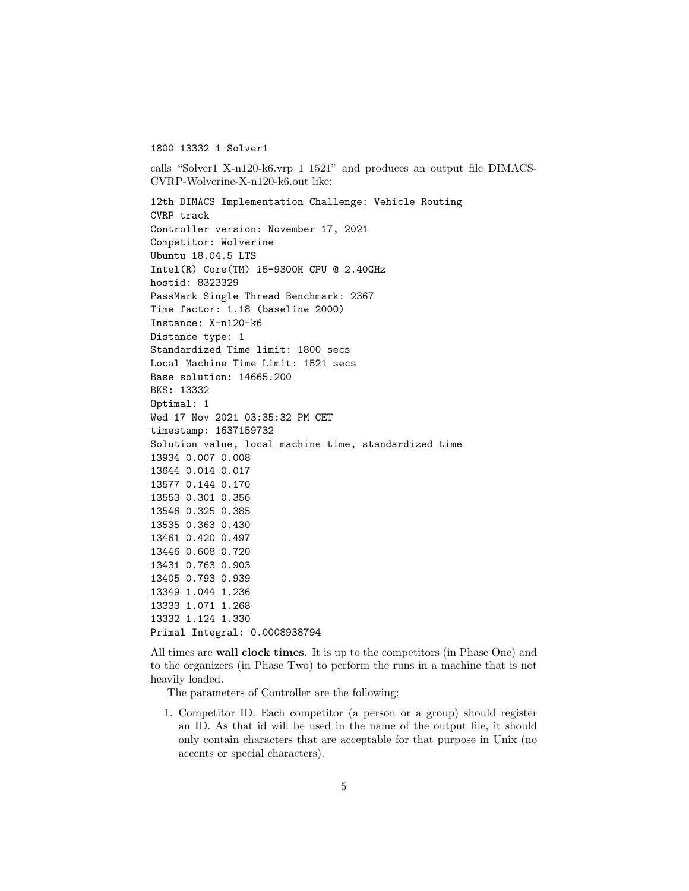1800 13332 1 Solver1

calls "Solver1 X-n120-k6.vrp 1 1521" and produces an output file DIMACS-CVRP-Wolverine-X-n120-k6.out like:

12th DIMACS Implementation Challenge: Vehicle Routing CVRP track Controller version: November 17, 2021 Competitor: Wolverine Ubuntu 18.04.5 LTS Intel(R) Core(TM) i5-9300H CPU @ 2.40GHz hostid: 8323329 PassMark Single Thread Benchmark: 2367 Time factor: 1.18 (baseline 2000) Instance: X-n120-k6 Distance type: 1 Standardized Time limit: 1800 secs Local Machine Time Limit: 1521 secs Base solution: 14665.200 BKS: 13332 Optimal: 1 Wed 17 Nov 2021 03:35:32 PM CET timestamp: 1637159732 Solution value, local machine time, standardized time 13934 0.007 0.008 13644 0.014 0.017 13577 0.144 0.170 13553 0.301 0.356 13546 0.325 0.385 13535 0.363 0.430 13461 0.420 0.497 13446 0.608 0.720 13431 0.763 0.903 13405 0.793 0.939 13349 1.044 1.236 13333 1.071 1.268 13332 1.124 1.330 Primal Integral: 0.0008938794

All times are wall clock times. It is up to the competitors (in Phase One) and to the organizers (in Phase Two) to perform the runs in a machine that is not heavily loaded.

The parameters of Controller are the following:

1. Competitor ID. Each competitor (a person or a group) should register an ID. As that id will be used in the name of the output file, it should only contain characters that are acceptable for that purpose in Unix (no accents or special characters).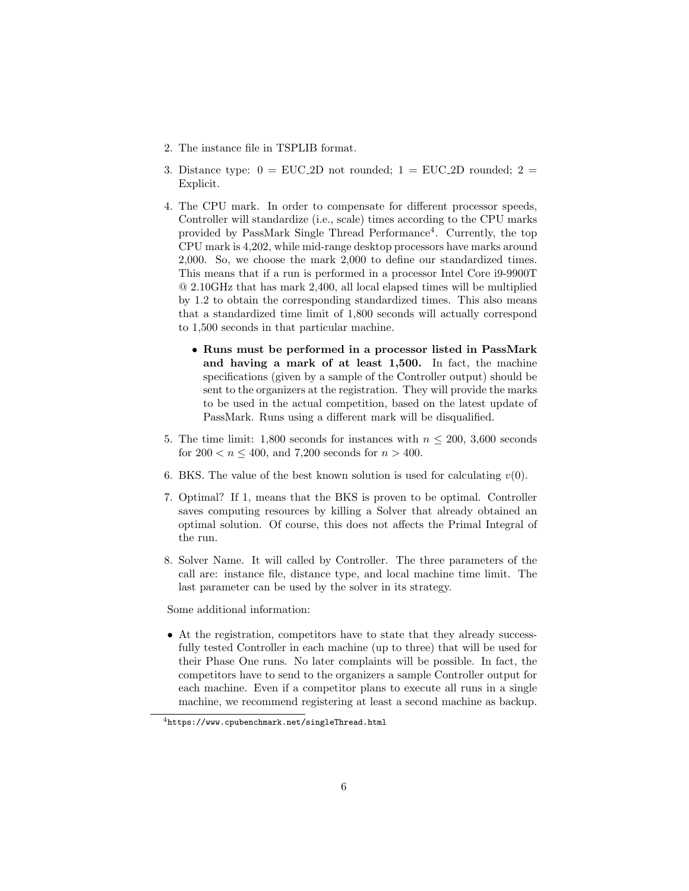- 2. The instance file in TSPLIB format.
- 3. Distance type:  $0 = EUC_2D$  not rounded;  $1 = EUC_2D$  rounded;  $2 =$ Explicit.
- 4. The CPU mark. In order to compensate for different processor speeds, Controller will standardize (i.e., scale) times according to the CPU marks provided by PassMark Single Thread Performance<sup>4</sup> . Currently, the top CPU mark is 4,202, while mid-range desktop processors have marks around 2,000. So, we choose the mark 2,000 to define our standardized times. This means that if a run is performed in a processor Intel Core i9-9900T @ 2.10GHz that has mark 2,400, all local elapsed times will be multiplied by 1.2 to obtain the corresponding standardized times. This also means that a standardized time limit of 1,800 seconds will actually correspond to 1,500 seconds in that particular machine.
	- Runs must be performed in a processor listed in PassMark and having a mark of at least 1,500. In fact, the machine specifications (given by a sample of the Controller output) should be sent to the organizers at the registration. They will provide the marks to be used in the actual competition, based on the latest update of PassMark. Runs using a different mark will be disqualified.
- 5. The time limit: 1,800 seconds for instances with  $n \leq 200$ , 3,600 seconds for  $200 < n < 400$ , and 7,200 seconds for  $n > 400$ .
- 6. BKS. The value of the best known solution is used for calculating  $v(0)$ .
- 7. Optimal? If 1, means that the BKS is proven to be optimal. Controller saves computing resources by killing a Solver that already obtained an optimal solution. Of course, this does not affects the Primal Integral of the run.
- 8. Solver Name. It will called by Controller. The three parameters of the call are: instance file, distance type, and local machine time limit. The last parameter can be used by the solver in its strategy.

Some additional information:

• At the registration, competitors have to state that they already successfully tested Controller in each machine (up to three) that will be used for their Phase One runs. No later complaints will be possible. In fact, the competitors have to send to the organizers a sample Controller output for each machine. Even if a competitor plans to execute all runs in a single machine, we recommend registering at least a second machine as backup.

 $\overline{a_{\text{https://www.cpubenchmark.net/singleThread.html}}$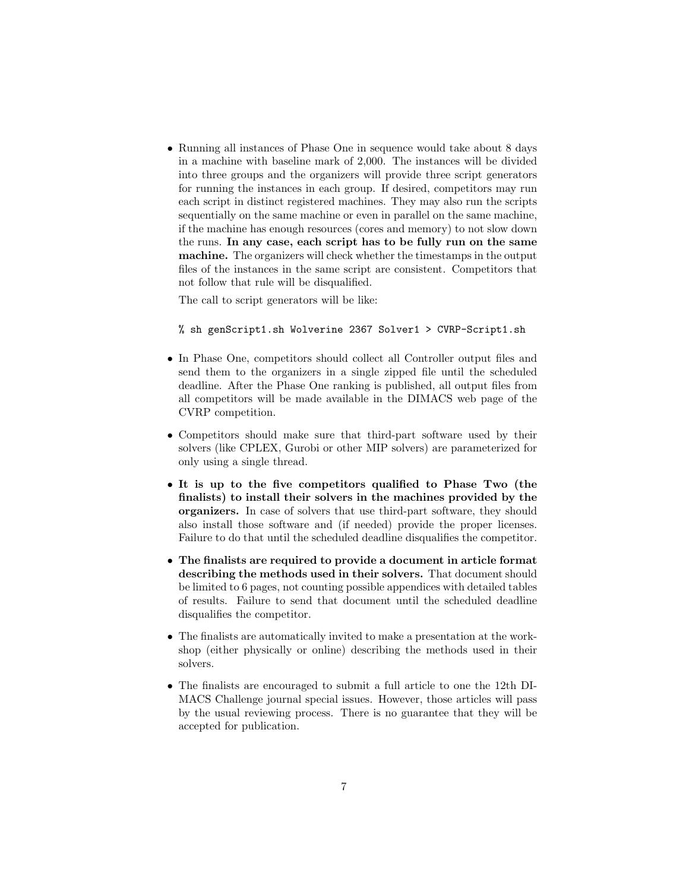• Running all instances of Phase One in sequence would take about 8 days in a machine with baseline mark of 2,000. The instances will be divided into three groups and the organizers will provide three script generators for running the instances in each group. If desired, competitors may run each script in distinct registered machines. They may also run the scripts sequentially on the same machine or even in parallel on the same machine, if the machine has enough resources (cores and memory) to not slow down the runs. In any case, each script has to be fully run on the same machine. The organizers will check whether the timestamps in the output files of the instances in the same script are consistent. Competitors that not follow that rule will be disqualified.

The call to script generators will be like:

% sh genScript1.sh Wolverine 2367 Solver1 > CVRP-Script1.sh

- In Phase One, competitors should collect all Controller output files and send them to the organizers in a single zipped file until the scheduled deadline. After the Phase One ranking is published, all output files from all competitors will be made available in the DIMACS web page of the CVRP competition.
- Competitors should make sure that third-part software used by their solvers (like CPLEX, Gurobi or other MIP solvers) are parameterized for only using a single thread.
- It is up to the five competitors qualified to Phase Two (the finalists) to install their solvers in the machines provided by the organizers. In case of solvers that use third-part software, they should also install those software and (if needed) provide the proper licenses. Failure to do that until the scheduled deadline disqualifies the competitor.
- The finalists are required to provide a document in article format describing the methods used in their solvers. That document should be limited to 6 pages, not counting possible appendices with detailed tables of results. Failure to send that document until the scheduled deadline disqualifies the competitor.
- The finalists are automatically invited to make a presentation at the workshop (either physically or online) describing the methods used in their solvers.
- The finalists are encouraged to submit a full article to one the 12th DI-MACS Challenge journal special issues. However, those articles will pass by the usual reviewing process. There is no guarantee that they will be accepted for publication.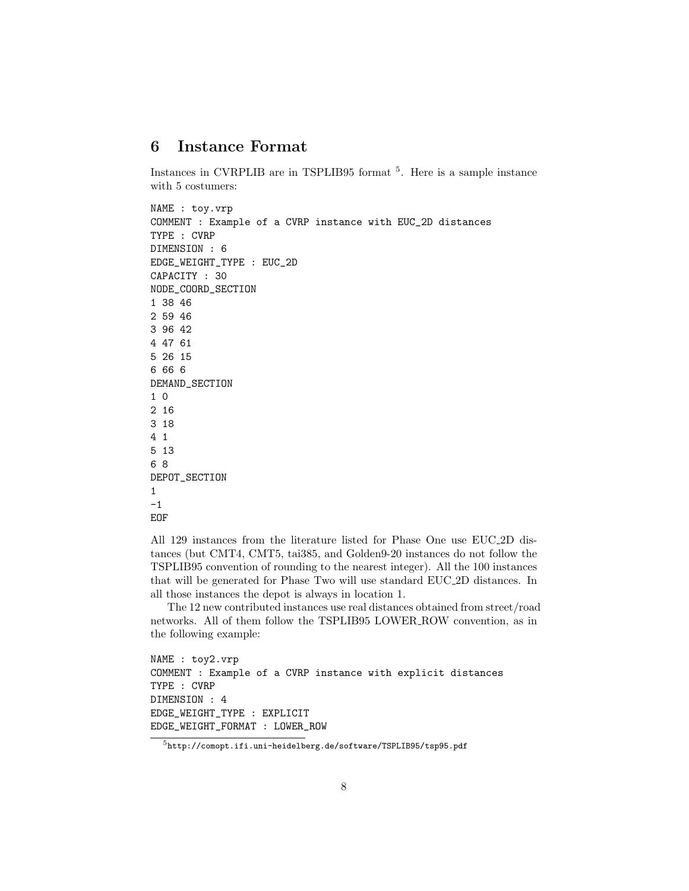## 6 Instance Format

Instances in CVRPLIB are in TSPLIB95 format <sup>5</sup>. Here is a sample instance with 5 costumers:

```
NAME : toy.vrp
COMMENT : Example of a CVRP instance with EUC_2D distances
TYPE : CVRP
DIMENSION : 6
EDGE_WEIGHT_TYPE : EUC_2D
CAPACITY : 30
NODE_COORD_SECTION
1 38 46
2 59 46
3 96 42
4 47 61
5 26 15
6 66 6
DEMAND_SECTION
1 0
2 16
3 18
4 1
5 13
6 8
DEPOT_SECTION
1
-1
```

```
EOF
```
All 129 instances from the literature listed for Phase One use EUC 2D distances (but CMT4, CMT5, tai385, and Golden9-20 instances do not follow the TSPLIB95 convention of rounding to the nearest integer). All the 100 instances that will be generated for Phase Two will use standard EUC 2D distances. In all those instances the depot is always in location 1.

The 12 new contributed instances use real distances obtained from street/road networks. All of them follow the TSPLIB95 LOWER ROW convention, as in the following example:

```
NAME : toy2.vrp
COMMENT : Example of a CVRP instance with explicit distances
TYPE : CVRP
DIMENSION : 4
EDGE_WEIGHT_TYPE : EXPLICIT
EDGE_WEIGHT_FORMAT : LOWER_ROW
```
<sup>5</sup>http://comopt.ifi.uni-heidelberg.de/software/TSPLIB95/tsp95.pdf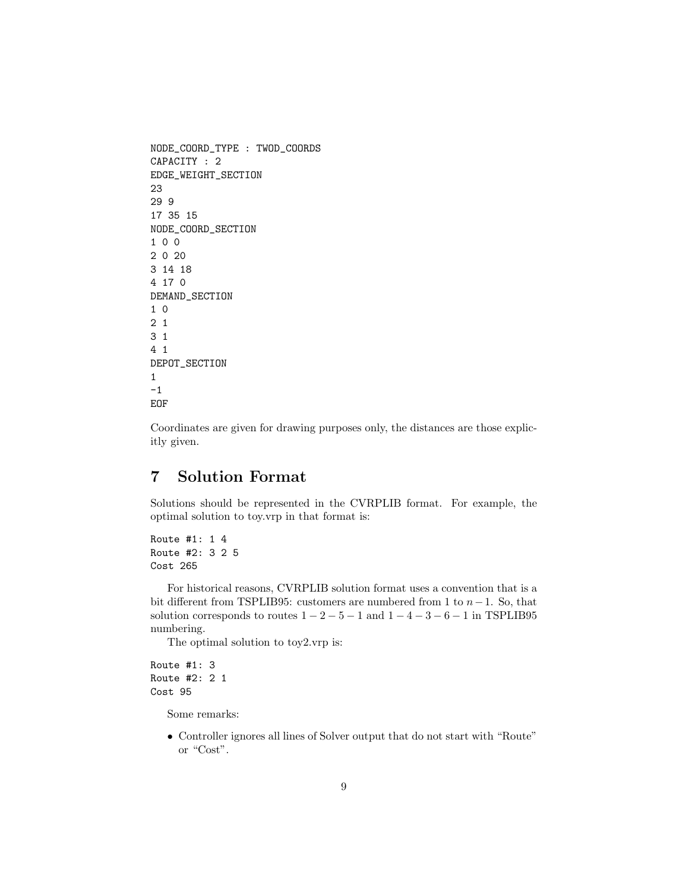```
NODE_COORD_TYPE : TWOD_COORDS
CAPACITY : 2
EDGE_WEIGHT_SECTION
23
29 9
17 35 15
NODE_COORD_SECTION
1 0 0
2 0 20
3 14 18
4 17 0
DEMAND_SECTION
1 0
2 1
3 1
4 1
DEPOT_SECTION
1
-1
EOF
```
Coordinates are given for drawing purposes only, the distances are those explicitly given.

## 7 Solution Format

Solutions should be represented in the CVRPLIB format. For example, the optimal solution to toy.vrp in that format is:

```
Route #1: 1 4
Route #2: 3 2 5
Cost 265
```
For historical reasons, CVRPLIB solution format uses a convention that is a bit different from TSPLIB95: customers are numbered from 1 to  $n-1$ . So, that solution corresponds to routes  $1 - 2 - 5 - 1$  and  $1 - 4 - 3 - 6 - 1$  in TSPLIB95 numbering.

The optimal solution to toy2.vrp is:

```
Route #1: 3
Route #2: 2 1
Cost 95
```
Some remarks:

• Controller ignores all lines of Solver output that do not start with "Route" or "Cost".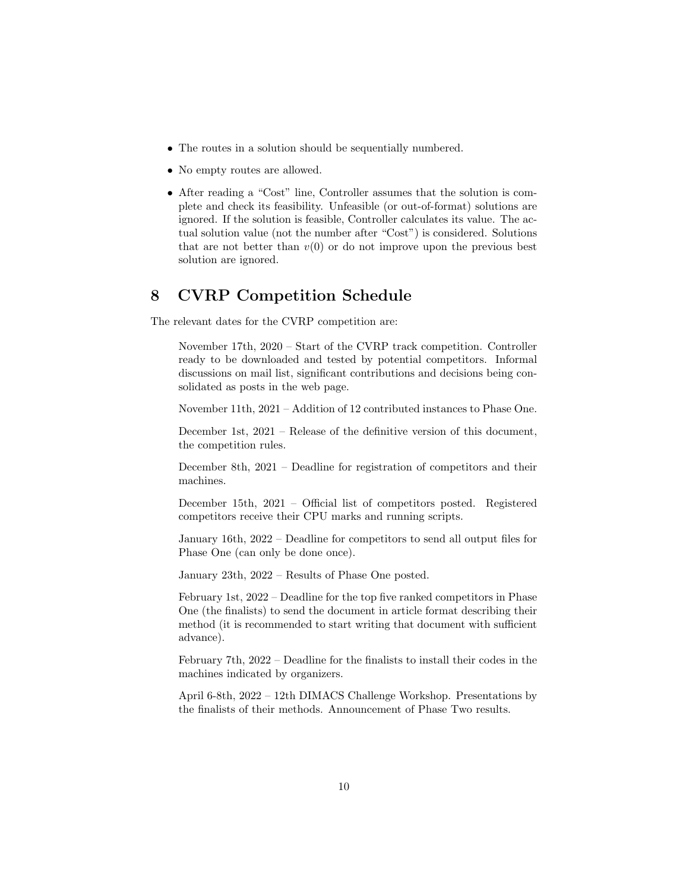- The routes in a solution should be sequentially numbered.
- No empty routes are allowed.
- After reading a "Cost" line, Controller assumes that the solution is complete and check its feasibility. Unfeasible (or out-of-format) solutions are ignored. If the solution is feasible, Controller calculates its value. The actual solution value (not the number after "Cost") is considered. Solutions that are not better than  $v(0)$  or do not improve upon the previous best solution are ignored.

## 8 CVRP Competition Schedule

The relevant dates for the CVRP competition are:

November 17th, 2020 – Start of the CVRP track competition. Controller ready to be downloaded and tested by potential competitors. Informal discussions on mail list, significant contributions and decisions being consolidated as posts in the web page.

November 11th, 2021 – Addition of 12 contributed instances to Phase One.

December 1st, 2021 – Release of the definitive version of this document, the competition rules.

December 8th, 2021 – Deadline for registration of competitors and their machines.

December 15th, 2021 – Official list of competitors posted. Registered competitors receive their CPU marks and running scripts.

January 16th, 2022 – Deadline for competitors to send all output files for Phase One (can only be done once).

January 23th, 2022 – Results of Phase One posted.

February 1st, 2022 – Deadline for the top five ranked competitors in Phase One (the finalists) to send the document in article format describing their method (it is recommended to start writing that document with sufficient advance).

February 7th, 2022 – Deadline for the finalists to install their codes in the machines indicated by organizers.

April 6-8th, 2022 – 12th DIMACS Challenge Workshop. Presentations by the finalists of their methods. Announcement of Phase Two results.